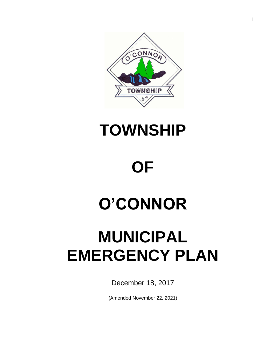

## **TOWNSHIP**

# **OF**

# **O'CONNOR**

## **MUNICIPAL EMERGENCY PLAN**

December 18, 2017

(Amended November 22, 2021)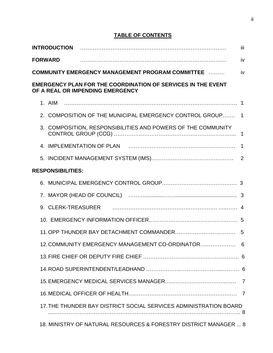## **TABLE OF CONTENTS**

| <b>INTRODUCTION</b>                                                                                     | iii. |
|---------------------------------------------------------------------------------------------------------|------|
| <b>FORWARD</b>                                                                                          | iv   |
| <b>COMMUNITY EMERGENCY MANAGEMENT PROGRAM COMMITTEE </b>                                                | iv   |
| <b>EMERGENCY PLAN FOR THE COORDINATION OF SERVICES IN THE EVENT</b><br>OF A REAL OR IMPENDING EMERGENCY |      |
|                                                                                                         |      |
| 2. COMPOSITION OF THE MUNICIPAL EMERGENCY CONTROL GROUP 1                                               |      |
| 3. COMPOSITION, RESPONSIBILITIES AND POWERS OF THE COMMUNITY                                            | 1    |
|                                                                                                         | 1    |
|                                                                                                         |      |
| <b>RESPONSIBILITIES:</b>                                                                                |      |
| 6.                                                                                                      |      |
|                                                                                                         |      |
|                                                                                                         |      |
|                                                                                                         |      |
|                                                                                                         |      |
| 12. COMMUNITY EMERGENCY MANAGEMENT CO-ORDINATOR 6                                                       |      |
|                                                                                                         |      |
|                                                                                                         |      |
|                                                                                                         |      |
|                                                                                                         |      |
| 17. THE THUNDER BAY DISTRICT SOCIAL SERVICES ADMINISTRATION BOARD                                       |      |
| 18. MINISTRY OF NATURAL RESOURCES & FORESTRY DISTRICT MANAGER  8                                        |      |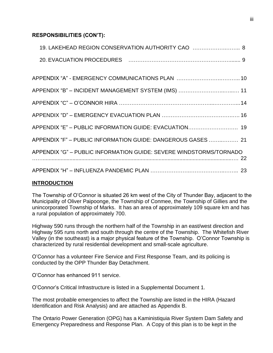## **RESPONSIBILITIES (CON'T):**

| 19. LAKEHEAD REGION CONSERVATION AUTHORITY CAO  8                  |
|--------------------------------------------------------------------|
|                                                                    |
|                                                                    |
| APPENDIX "B" - INCIDENT MANAGEMENT SYSTEM (IMS)  11                |
|                                                                    |
|                                                                    |
| APPENDIX "E" - PUBLIC INFORMATION GUIDE: EVACUATION 19             |
| APPENDIX "F" - PUBLIC INFORMATION GUIDE: DANGEROUS GASES  21       |
| APPENDIX "G" - PUBLIC INFORMATION GUIDE: SEVERE WINDSTORMS/TORNADO |
|                                                                    |

#### **INTRODUCTION**

The Township of O'Connor is situated 26 km west of the City of Thunder Bay, adjacent to the Municipality of Oliver Paipoonge, the Township of Conmee, the Township of Gillies and the unincorporated Township of Marks. It has an area of approximately 109 square km and has a rural population of approximately 700.

Highway 590 runs through the northern half of the Township in an east/west direction and Highway 595 runs north and south through the centre of the Township. The Whitefish River Valley (in the southeast) is a major physical feature of the Township. O'Connor Township is characterized by rural residential development and small-scale agriculture.

O'Connor has a volunteer Fire Service and First Response Team, and its policing is conducted by the OPP Thunder Bay Detachment.

O'Connor has enhanced 911 service.

O'Connor's Critical Infrastructure is listed in a Supplemental Document 1.

The most probable emergencies to affect the Township are listed in the HIRA (Hazard Identification and Risk Analysis) and are attached as Appendix B.

The Ontario Power Generation (OPG) has a Kaministiquia River System Dam Safety and Emergency Preparedness and Response Plan. A Copy of this plan is to be kept in the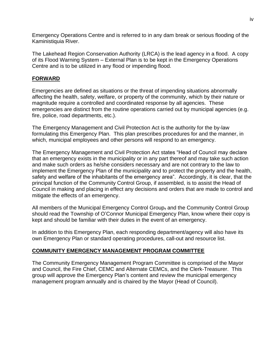Emergency Operations Centre and is referred to in any dam break or serious flooding of the Kaministiquia River.

The Lakehead Region Conservation Authority (LRCA) is the lead agency in a flood. A copy of its Flood Warning System – External Plan is to be kept in the Emergency Operations Centre and is to be utilized in any flood or impending flood.

## **FORWARD**

Emergencies are defined as situations or the threat of impending situations abnormally affecting the health, safety, welfare, or property of the community, which by their nature or magnitude require a controlled and coordinated response by all agencies. These emergencies are distinct from the routine operations carried out by municipal agencies (e.g. fire, police, road departments, etc.).

The Emergency Management and Civil Protection Act is the authority for the by-law formulating this Emergency Plan. This plan prescribes procedures for and the manner, in which, municipal employees and other persons will respond to an emergency.

The Emergency Management and Civil Protection Act states "Head of Council may declare that an emergency exists in the municipality or in any part thereof and may take such action and make such orders as he/she considers necessary and are not contrary to the law to implement the Emergency Plan of the municipality and to protect the property and the health, safety and welfare of the inhabitants of the emergency area". Accordingly, it is clear, that the principal function of the Community Control Group, if assembled, is to assist the Head of Council in making and placing in effect any decisions and orders that are made to control and mitigate the effects of an emergency.

All members of the Municipal Emergency Control Group, and the Community Control Group should read the Township of O'Connor Municipal Emergency Plan, know where their copy is kept and should be familiar with their duties in the event of an emergency.

In addition to this Emergency Plan, each responding department/agency will also have its own Emergency Plan or standard operating procedures, call-out and resource list.

## **COMMUNITY EMERGENCY MANAGEMENT PROGRAM COMMITTEE**

The Community Emergency Management Program Committee is comprised of the Mayor and Council, the Fire Chief, CEMC and Alternate CEMCs, and the Clerk-Treasurer. This group will approve the Emergency Plan's content and review the municipal emergency management program annually and is chaired by the Mayor (Head of Council).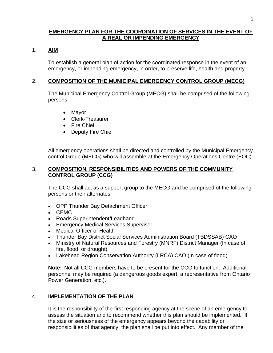#### **EMERGENCY PLAN FOR THE COORDINATION OF SERVICES IN THE EVENT OF A REAL OR IMPENDING EMERGENCY**

#### 1. **AIM**

To establish a general plan of action for the coordinated response in the event of an emergency, or impending emergency, in order, to preserve life, health and property.

#### 2. **COMPOSITION OF THE MUNICIPAL EMERGENCY CONTROL GROUP (MECG)**

The Municipal Emergency Control Group (MECG) shall be comprised of the following persons:

- Mayor
- Clerk-Treasurer
- Fire Chief
- Deputy Fire Chief

All emergency operations shall be directed and controlled by the Municipal Emergency control Group (MECG) who will assemble at the Emergency Operations Centre (EOC).

#### 3. **COMPOSITION, RESPONSIBILITIES AND POWERS OF THE COMMUNITY CONTROL GROUP (CCG)**

The CCG shall act as a support group to the MECG and be comprised of the following persons or their alternates:

- OPP Thunder Bay Detachment Officer
- CEMC
- Roads Superintendent/Leadhand
- Emergency Medical Services Supervisor
- Medical Officer of Health
- Thunder Bay District Social Services Administration Board (TBDSSAB) CAO
- Ministry of Natural Resources and Forestry (MNRF) District Manager (In case of fire, flood, or drought)
- Lakehead Region Conservation Authority (LRCA) CAO (In case of flood)

**Note:** Not all CCG members have to be present for the CCG to function. Additional personnel may be required (a dangerous goods expert, a representative from Ontario Power Generation, etc.).

## 4. **IMPLEMENTATION OF THE PLAN**

It is the responsibility of the first responding agency at the scene of an emergency to assess the situation and to recommend whether this plan should be implemented. If the size or seriousness of the emergency appears beyond the capability or responsibilities of that agency, the plan shall be put into effect. Any member of the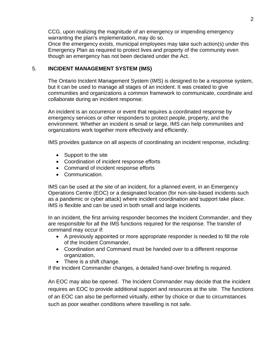CCG, upon realizing the magnitude of an emergency or impending emergency warranting the plan's implementation, may do so.

Once the emergency exists, municipal employees may take such action(s) under this Emergency Plan as required to protect lives and property of the community even though an emergency has not been declared under the Act.

#### 5. **INCIDENT MANAGEMENT SYSTEM (IMS)**

The Ontario Incident Management System (IMS) is designed to be a response system, but it can be used to manage all stages of an incident. It was created to give communities and organizations a common framework to communicate, coordinate and collaborate during an incident response.

An incident is an occurrence or event that requires a coordinated response by emergency services or other responders to protect people, property, and the environment. Whether an incident is small or large, IMS can help communities and organizations work together more effectively and efficiently.

IMS provides guidance on all aspects of coordinating an incident response, including:

- Support to the site
- Coordination of incident response efforts
- Command of incident response efforts
- Communication.

IMS can be used at the site of an incident, for a planned event, in an Emergency Operations Centre (EOC) or a designated location (for non-site-based incidents such as a pandemic or cyber attack) where incident coordination and support take place. IMS is flexible and can be used in both small and large incidents.

In an incident, the first arriving responder becomes the Incident Commander, and they are responsible for all the IMS functions required for the response. The transfer of command may occur if:

- A previously appointed or more appropriate responder is needed to fill the role of the Incident Commander,
- Coordination and Command must be handed over to a different response organization,
- There is a shift change.

If the Incident Commander changes, a detailed hand-over briefing is required.

An EOC may also be opened. The Incident Commander may decide that the incident requires an EOC to provide additional support and resources at the site. The functions of an EOC can also be performed virtually, either by choice or due to circumstances such as poor weather conditions where travelling is not safe.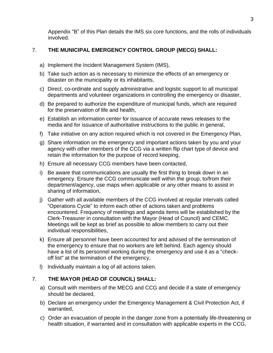Appendix "B" of this Plan details the IMS six core functions, and the rolls of individuals involved.

## 7. **THE MUNICIPAL EMERGENCY CONTROL GROUP (MECG) SHALL:**

- a) Implement the Incident Management System (IMS),
- b) Take such action as is necessary to minimize the effects of an emergency or disaster on the municipality or its inhabitants,
- c) Direct, co-ordinate and supply administrative and logistic support to all municipal departments and volunteer organizations in controlling the emergency or disaster,
- d) Be prepared to authorize the expenditure of municipal funds, which are required for the preservation of life and health,
- e) Establish an information center for issuance of accurate news releases to the media and for issuance of authoritative instructions to the public in general,
- f) Take initiative on any action required which is not covered in the Emergency Plan,
- g) Share information on the emergency and important actions taken by you and your agency with other members of the CCG via a written flip chart type of device and retain the information for the purpose of record keeping,
- h) Ensure all necessary CCG members have been contacted,
- i) Be aware that communications are usually the first thing to break down in an emergency. Ensure the CCG communicate well within the group, to/from their department/agency, use maps when applicable or any other means to assist in sharing of information,
- j) Gather with all available members of the CCG involved at regular intervals called "Operations Cycle" to inform each other of actions taken and problems encountered. Frequency of meetings and agenda items will be established by the Clerk-Treasurer in consultation with the Mayor (Head of Council) and CEMC. Meetings will be kept as brief as possible to allow members to carry out their individual responsibilities,
- k) Ensure all personnel have been accounted for and advised of the termination of the emergency to ensure that no workers are left behind. Each agency should have a list of its personnel working during the emergency and use it as a "checkoff list" at the termination of the emergency,
- l) Individually maintain a log of all actions taken.

## 7. **THE MAYOR (HEAD OF COUNCIL) SHALL:**

- a) Consult with members of the MECG and CCG and decide if a state of emergency should be declared,
- b) Declare an emergency under the Emergency Management & Civil Protection Act, if warranted,
- c) Order an evacuation of people in the danger zone from a potentially life-threatening or health situation, if warranted and in consultation with applicable experts in the CCG,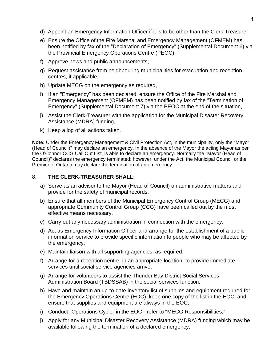- d) Appoint an Emergency Information Officer if it is to be other than the Clerk-Treasurer,
- e) Ensure the Office of the Fire Marshal and Emergency Management (OFMEM) has been notified by fax of the "Declaration of Emergency" (Supplemental Document 6) via the Provincial Emergency Operations Centre (PEOC),
- f) Approve news and public announcements,
- g) Request assistance from neighbouring municipalities for evacuation and reception centres, if applicable,
- h) Update MECG on the emergency as required,
- i) If an "Emergency" has been declared, ensure the Office of the Fire Marshal and Emergency Management (OFMEM) has been notified by fax of the "Termination of Emergency" (Supplemental Document 7) via the PEOC at the end of the situation,
- j) Assist the Clerk-Treasurer with the application for the Municipal Disaster Recovery Assistance (MDRA) funding,
- k) Keep a log of all actions taken.

**Note:** Under the Emergency Management & Civil Protection Act, in the municipality, only the "Mayor (Head of Council)" may declare an emergency. In the absence of the Mayor the acting Mayor as per the O'Connor CCG Call Out List, is able to declare an emergency. Normally the "Mayor (Head of Council)" declares the emergency terminated; however, under the Act, the Municipal Council or the Premier of Ontario may declare the termination of an emergency.

#### 8. **THE CLERK-TREASURER SHALL:**

- a) Serve as an advisor to the Mayor (Head of Council) on administrative matters and provide for the safety of municipal records,
- b) Ensure that all members of the Municipal Emergency Control Group (MECG) and appropriate Community Control Group (CCG) have been called out by the most effective means necessary,
- c) Carry out any necessary administration in connection with the emergency,
- d) Act as Emergency Information Officer and arrange for the establishment of a public information service to provide specific information to people who may be affected by the emergency,
- e) Maintain liaison with all supporting agencies, as required,
- f) Arrange for a reception centre, in an appropriate location, to provide immediate services until social service agencies arrive,
- g) Arrange for volunteers to assist the Thunder Bay District Social Services Administration Board (TBDSSAB) in the social services function,
- h) Have and maintain an up-to-date inventory list of supplies and equipment required for the Emergency Operations Centre (EOC), keep one copy of the list in the EOC, and ensure that supplies and equipment are always in the EOC,
- i) Conduct "Operations Cycle" in the EOC refer to "MECG Responsibilities,"
- j) Apply for any Municipal Disaster Recovery Assistance (MDRA) funding which may be available following the termination of a declared emergency,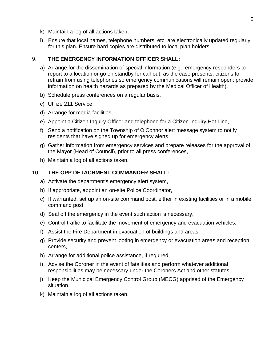- k) Maintain a log of all actions taken,
- l) Ensure that local names, telephone numbers, etc. are electronically updated regularly for this plan. Ensure hard copies are distributed to local plan holders.

#### 9. **THE EMERGENCY INFORMATION OFFICER SHALL:**

- a) Arrange for the dissemination of special information (e.g., emergency responders to report to a location or go on standby for call-out, as the case presents; citizens to refrain from using telephones so emergency communications will remain open; provide information on health hazards as prepared by the Medical Officer of Health),
- b) Schedule press conferences on a regular basis,
- c) Utilize 211 Service,
- d) Arrange for media facilities,
- e) Appoint a Citizen Inquiry Officer and telephone for a Citizen Inquiry Hot Line,
- f) Send a notification on the Township of O'Connor alert message system to notify residents that have signed up for emergency alerts,
- g) Gather information from emergency services and prepare releases for the approval of the Mayor (Head of Council), prior to all press conferences,
- h) Maintain a log of all actions taken.

## 10. **THE OPP DETACHMENT COMMANDER SHALL:**

- a) Activate the department's emergency alert system,
- b) If appropriate, appoint an on-site Police Coordinator,
- c) If warranted, set up an on-site command post, either in existing facilities or in a mobile command post,
- d) Seal off the emergency in the event such action is necessary,
- e) Control traffic to facilitate the movement of emergency and evacuation vehicles,
- f) Assist the Fire Department in evacuation of buildings and areas,
- g) Provide security and prevent looting in emergency or evacuation areas and reception centers,
- h) Arrange for additional police assistance, if required,
- i) Advise the Coroner in the event of fatalities and perform whatever additional responsibilities may be necessary under the Coroners Act and other statutes,
- j) Keep the Municipal Emergency Control Group (MECG) apprised of the Emergency situation,
- k) Maintain a log of all actions taken.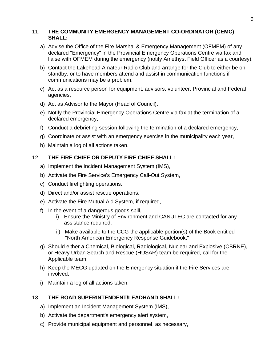#### 11. **THE COMMUNITY EMERGENCY MANAGEMENT CO-ORDINATOR (CEMC) SHALL:**

- a) Advise the Office of the Fire Marshal & Emergency Management (OFMEM) of any declared "Emergency" in the Provincial Emergency Operations Centre via fax and liaise with OFMEM during the emergency (notify Amethyst Field Officer as a courtesy),
- b) Contact the Lakehead Amateur Radio Club and arrange for the Club to either be on standby, or to have members attend and assist in communication functions if communications may be a problem,
- c) Act as a resource person for equipment, advisors, volunteer, Provincial and Federal agencies,
- d) Act as Advisor to the Mayor (Head of Council),
- e) Notify the Provincial Emergency Operations Centre via fax at the termination of a declared emergency,
- f) Conduct a debriefing session following the termination of a declared emergency,
- g) Coordinate or assist with an emergency exercise in the municipality each year,
- h) Maintain a log of all actions taken.

## 12. **THE FIRE CHIEF OR DEPUTY FIRE CHIEF SHALL:**

- a) Implement the Incident Management System (IMS),
- b) Activate the Fire Service's Emergency Call-Out System,
- c) Conduct firefighting operations,
- d) Direct and/or assist rescue operations,
- e) Activate the Fire Mutual Aid System, if required,
- f) In the event of a dangerous goods spill,
	- i) Ensure the Ministry of Environment and CANUTEC are contacted for any assistance required,
	- ii) Make available to the CCG the applicable portion(s) of the Book entitled "North American Emergency Response Guidebook,"
- g) Should either a Chemical, Biological, Radiological, Nuclear and Explosive (CBRNE), or Heavy Urban Search and Rescue (HUSAR) team be required, call for the Applicable team,
- h) Keep the MECG updated on the Emergency situation if the Fire Services are involved,
- i) Maintain a log of all actions taken.

## 13. **THE ROAD SUPERINTENDENT/LEADHAND SHALL:**

- a) Implement an Incident Management System (IMS),
- b) Activate the department's emergency alert system,
- c) Provide municipal equipment and personnel, as necessary,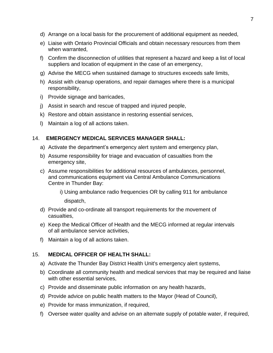- d) Arrange on a local basis for the procurement of additional equipment as needed,
- e) Liaise with Ontario Provincial Officials and obtain necessary resources from them when warranted,
- f) Confirm the disconnection of utilities that represent a hazard and keep a list of local suppliers and location of equipment in the case of an emergency,
- g) Advise the MECG when sustained damage to structures exceeds safe limits,
- h) Assist with cleanup operations, and repair damages where there is a municipal responsibility,
- i) Provide signage and barricades,
- j) Assist in search and rescue of trapped and injured people,
- k) Restore and obtain assistance in restoring essential services,
- l) Maintain a log of all actions taken.

#### 14. **EMERGENCY MEDICAL SERVICES MANAGER SHALL:**

- a) Activate the department's emergency alert system and emergency plan,
- b) Assume responsibility for triage and evacuation of casualties from the emergency site,
- c) Assume responsibilities for additional resources of ambulances, personnel, and communications equipment via Central Ambulance Communications Centre in Thunder Bay:

i) Using ambulance radio frequencies OR by calling 911 for ambulance dispatch,

- d) Provide and co-ordinate all transport requirements for the movement of casualties,
- e) Keep the Medical Officer of Health and the MECG informed at regular intervals of all ambulance service activities,
- f) Maintain a log of all actions taken.

## 15. **MEDICAL OFFICER OF HEALTH SHALL:**

- a) Activate the Thunder Bay District Health Unit's emergency alert systems,
- b) Coordinate all community health and medical services that may be required and liaise with other essential services,
- c) Provide and disseminate public information on any health hazards,
- d) Provide advice on public health matters to the Mayor (Head of Council),
- e) Provide for mass immunization, if required,
- f) Oversee water quality and advise on an alternate supply of potable water, if required,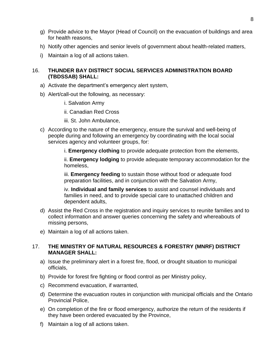- g) Provide advice to the Mayor (Head of Council) on the evacuation of buildings and area for health reasons,
- h) Notify other agencies and senior levels of government about health-related matters,
- i) Maintain a log of all actions taken.

## 16. **THUNDER BAY DISTRICT SOCIAL SERVICES ADMINISTRATION BOARD (TBDSSAB) SHALL:**

- a) Activate the department's emergency alert system,
- b) Alert/call-out the following, as necessary:
	- i. Salvation Army
	- ii. Canadian Red Cross
	- iii. St. John Ambulance,
- c) According to the nature of the emergency, ensure the survival and well-being of people during and following an emergency by coordinating with the local social services agency and volunteer groups, for:
	- i. **Emergency clothing** to provide adequate protection from the elements,

ii. **Emergency lodging** to provide adequate temporary accommodation for the homeless,

iii. **Emergency feeding** to sustain those without food or adequate food preparation facilities, and in conjunction with the Salvation Army,

iv. **Individual and family services** to assist and counsel individuals and families in need, and to provide special care to unattached children and dependent adults,

- d) Assist the Red Cross in the registration and inquiry services to reunite families and to collect information and answer queries concerning the safety and whereabouts of missing persons,
- e) Maintain a log of all actions taken.

## 17. **THE MINISTRY OF NATURAL RESOURCES & FORESTRY (MNRF) DISTRICT MANAGER SHALL:**

- a) Issue the preliminary alert in a forest fire, flood, or drought situation to municipal officials,
- b) Provide for forest fire fighting or flood control as per Ministry policy,
- c) Recommend evacuation, if warranted,
- d) Determine the evacuation routes in conjunction with municipal officials and the Ontario Provincial Police,
- e) On completion of the fire or flood emergency, authorize the return of the residents if they have been ordered evacuated by the Province,
- f) Maintain a log of all actions taken.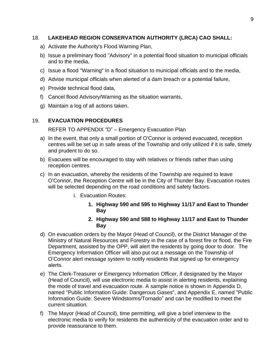## 18. **LAKEHEAD REGION CONSERVATION AUTHORITY (LRCA) CAO SHALL:**

- a) Activate the Authority's Flood Warning Plan,
- b) Issue a preliminary flood "Advisory" in a potential flood situation to municipal officials and to the media,
- c) Issue a flood "Warning" in a flood situation to municipal officials and to the media,
- d) Advise municipal officials when alerted of a dam breach or a potential failure,
- e) Provide technical flood data,
- f) Cancel flood Advisory/Warning as the situation warrants,
- g) Maintain a log of all actions taken.

#### 19. **EVACUATION PROCEDURES**

REFER TO APPENDIX "D" – Emergency Evacuation Plan

- a) In the event, that only a small portion of O'Connor is ordered evacuated, reception centres will be set up in safe areas of the Township and only utilized if it is safe, timely and prudent to do so.
- b) Evacuees will be encouraged to stay with relatives or friends rather than using reception centres.
- c) In an evacuation, whereby the residents of the Township are required to leave O'Connor, the Reception Centre will be in the City of Thunder Bay. Evacuation routes will be selected depending on the road conditions and safety factors.
	- i. Evacuation Routes:
		- **1. Highway 590 and 595 to Highway 11/17 and East to Thunder Bay**

#### **2. Highway 590 and 588 to Highway 11/17 and East to Thunder Bay**

- d) On evacuation orders by the Mayor (Head of Council), or the District Manager of the Ministry of Natural Resources and Forestry in the case of a forest fire or flood, the Fire Department, assisted by the OPP, will alert the residents by going door to door. The Emergency Information Officer will also put out a message on the Township of O'Connor alert message system to notify residents that signed up for emergency alerts.
- e) The Clerk-Treasurer or Emergency Information Officer, if designated by the Mayor (Head of Council), will use electronic media to assist in alerting residents, explaining the mode of travel and evacuation route. A sample notice is shown in Appendix D, named "Public Information Guide: Dangerous Gases", and Appendix E, named "Public Information Guide: Severe Windstorms/Tornado" and can be modified to meet the current situation.
- f) The Mayor (Head of Council), time permitting, will give a brief interview to the electronic media to verify for residents the authenticity of the evacuation order and to provide reassurance to them.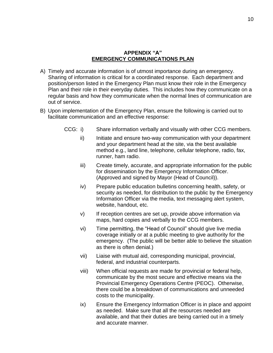#### **APPENDIX "A" EMERGENCY COMMUNICATIONS PLAN**

- A) Timely and accurate information is of utmost importance during an emergency. Sharing of information is critical for a coordinated response. Each department and position/person listed in the Emergency Plan must know their role in the Emergency Plan and their role in their everyday duties. This includes how they communicate on a regular basis and how they communicate when the normal lines of communication are out of service.
- B) Upon implementation of the Emergency Plan, ensure the following is carried out to facilitate communication and an effective response:
	- CCG: i) Share information verbally and visually with other CCG members.
		- ii) Initiate and ensure two-way communication with your department and your department head at the site, via the best available method e.g., land line, telephone, cellular telephone, radio, fax, runner, ham radio.
		- iii) Create timely, accurate, and appropriate information for the public for dissemination by the Emergency Information Officer. (Approved and signed by Mayor (Head of Council)).
		- iv) Prepare public education bulletins concerning health, safety, or security as needed, for distribution to the public by the Emergency Information Officer via the media, text messaging alert system, website, handout, etc.
		- v) If reception centres are set up, provide above information via maps, hard copies and verbally to the CCG members.
		- vi) Time permitting, the "Head of Council" should give live media coverage initially or at a public meeting to give authority for the emergency. (The public will be better able to believe the situation as there is often denial.)
		- vii) Liaise with mutual aid, corresponding municipal, provincial, federal, and industrial counterparts.
		- viii) When official requests are made for provincial or federal help, communicate by the most secure and effective means via the Provincial Emergency Operations Centre (PEOC). Otherwise, there could be a breakdown of communications and unneeded costs to the municipality.
		- ix) Ensure the Emergency Information Officer is in place and appoint as needed. Make sure that all the resources needed are available, and that their duties are being carried out in a timely and accurate manner.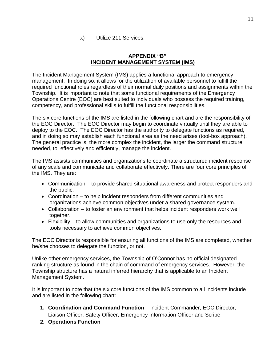#### **APPENDIX "B" INCIDENT MANAGEMENT SYSTEM (IMS)**

The Incident Management System (IMS) applies a functional approach to emergency management. In doing so, it allows for the utilization of available personnel to fulfill the required functional roles regardless of their normal daily positions and assignments within the Township. It is important to note that some functional requirements of the Emergency Operations Centre (EOC) are best suited to individuals who possess the required training, competency, and professional skills to fulfill the functional responsibilities.

The six core functions of the IMS are listed in the following chart and are the responsibility of the EOC Director. The EOC Director may begin to coordinate virtually until they are able to deploy to the EOC. The EOC Director has the authority to delegate functions as required, and in doing so may establish each functional area as the need arises (tool-box approach). The general practice is, the more complex the incident, the larger the command structure needed, to, effectively and efficiently, manage the incident.

The IMS assists communities and organizations to coordinate a structured incident response of any scale and communicate and collaborate effectively. There are four core principles of the IMS. They are:

- Communication to provide shared situational awareness and protect responders and the public.
- Coordination to help incident responders from different communities and organizations achieve common objectives under a shared governance system.
- Collaboration to foster an environment that helps incident responders work well together.
- Flexibility to allow communities and organizations to use only the resources and tools necessary to achieve common objectives.

The EOC Director is responsible for ensuring all functions of the IMS are completed, whether he/she chooses to delegate the function, or not.

Unlike other emergency services, the Township of O'Connor has no official designated ranking structure as found in the chain of command of emergency services. However, the Township structure has a natural inferred hierarchy that is applicable to an Incident Management System.

It is important to note that the six core functions of the IMS common to all incidents include and are listed in the following chart:

- **1. Coordination and Command Function** Incident Commander, EOC Director, Liaison Officer, Safety Officer, Emergency Information Officer and Scribe
- **2. Operations Function**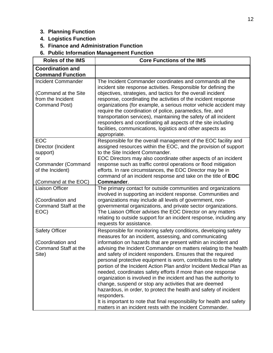## **3. Planning Function**

- **4. Logistics Function**
- **5. Finance and Administration Function**

**6. Public Information Management Function**

| <b>Roles of the IMS</b>                                                                                                     | <b>Core Functions of the IMS</b>                                                                                                                                                                                                                                                                                                                                                                                                                                                                                                                                                                                                                                                                                                                                                                                                                                                                       |
|-----------------------------------------------------------------------------------------------------------------------------|--------------------------------------------------------------------------------------------------------------------------------------------------------------------------------------------------------------------------------------------------------------------------------------------------------------------------------------------------------------------------------------------------------------------------------------------------------------------------------------------------------------------------------------------------------------------------------------------------------------------------------------------------------------------------------------------------------------------------------------------------------------------------------------------------------------------------------------------------------------------------------------------------------|
| <b>Coordination and</b><br><b>Command Function</b>                                                                          |                                                                                                                                                                                                                                                                                                                                                                                                                                                                                                                                                                                                                                                                                                                                                                                                                                                                                                        |
| Incident Commander<br>(Command at the Site<br>from the Incident<br>Command Post)                                            | The Incident Commander coordinates and commands all the<br>incident site response activities. Responsible for defining the<br>objectives, strategies, and tactics for the overall incident<br>response, coordinating the activities of the incident response<br>organizations (for example, a serious motor vehicle accident may<br>require the coordination of police, paramedics, fire, and<br>transportation services), maintaining the safety of all incident<br>responders and coordinating all aspects of the site including<br>facilities, communications, logistics and other aspects as<br>appropriate.                                                                                                                                                                                                                                                                                       |
| <b>EOC</b><br>Director (Incident<br>support)<br>or<br><b>Commander (Command</b><br>of the Incident)<br>(Command at the EOC) | Responsible for the overall management of the EOC facility and<br>assigned resources within the EOC, and the provision of support<br>to the Site Incident Commander.<br>EOC Directors may also coordinate other aspects of an incident<br>response such as traffic control operations or flood mitigation<br>efforts. In rare circumstances, the EOC Director may be in<br>command of an incident response and take on the title of EOC<br>Commander.                                                                                                                                                                                                                                                                                                                                                                                                                                                  |
| <b>Liaison Officer</b><br>(Coordination and<br>Command Staff at the<br>EOC)                                                 | The primary contact for outside communities and organizations<br>involved in supporting an incident response. Communities and<br>organizations may include all levels of government, non-<br>governmental organizations, and private sector organizations.<br>The Liaison Officer advises the EOC Director on any matters<br>relating to outside support for an incident response, including any<br>requests for assistance.                                                                                                                                                                                                                                                                                                                                                                                                                                                                           |
| <b>Safety Officer</b><br>(Coordination and<br>Command Staff at the<br>Site)                                                 | Responsible for monitoring safety conditions, developing safety<br>measures for an incident, assessing, and communicating<br>information on hazards that are present within an incident and<br>advising the Incident Commander on matters relating to the health<br>and safety of incident responders. Ensures that the required<br>personal protective equipment is worn, contributes to the safety<br>portion of the Incident Action Plan and/or Incident Medical Plan as<br>needed, coordinates safety efforts if more than one response<br>organization is involved in the incident and has the authority to<br>change, suspend or stop any activities that are deemed<br>hazardous, in order, to protect the health and safety of incident<br>responders.<br>It is important to note that final responsibility for health and safety<br>matters in an incident rests with the Incident Commander. |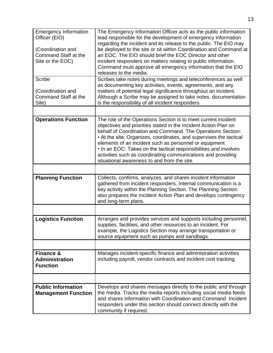| <b>Emergency Information</b><br>Officer (EIO)<br>(Coordination and<br>Command Staff at the<br>Site or the EOC)<br><b>Scribe</b><br>(Coordination and<br>Command Staff at the | The Emergency Information Officer acts as the public information<br>lead responsible for the development of emergency information<br>regarding the incident and its release to the public. The EIO may<br>be deployed to the site or sit within Coordination and Command at<br>an EOC. The EIO should brief the EOC Director and other<br>incident responders on matters relating to public information.<br>Command must approve all emergency information that the EIO<br>releases to the media.<br>Scribes take notes during meetings and teleconferences as well<br>as documenting key activities, events, agreements, and any<br>matters of potential legal significance throughout an incident.<br>Although a Scribe may be assigned to take notes, documentation |
|------------------------------------------------------------------------------------------------------------------------------------------------------------------------------|------------------------------------------------------------------------------------------------------------------------------------------------------------------------------------------------------------------------------------------------------------------------------------------------------------------------------------------------------------------------------------------------------------------------------------------------------------------------------------------------------------------------------------------------------------------------------------------------------------------------------------------------------------------------------------------------------------------------------------------------------------------------|
| Site)                                                                                                                                                                        | is the responsibility of all incident responders.                                                                                                                                                                                                                                                                                                                                                                                                                                                                                                                                                                                                                                                                                                                      |
| <b>Operations Function</b>                                                                                                                                                   | The role of the Operations Section is to meet current incident<br>objectives and priorities stated in the Incident Action Plan on<br>behalf of Coordination and Command. The Operations Section:<br>• At the site: Organizes, coordinates, and supervises the tactical<br>elements of an incident such as personnel or equipment<br>. In an EOC: Takes on the tactical responsibilities and involves<br>activities such as coordinating communications and providing<br>situational awareness to and from the site.                                                                                                                                                                                                                                                    |
|                                                                                                                                                                              |                                                                                                                                                                                                                                                                                                                                                                                                                                                                                                                                                                                                                                                                                                                                                                        |
| <b>Planning Function</b>                                                                                                                                                     | Collects, confirms, analyzes, and shares incident information<br>gathered from incident responders. Internal communication is a<br>key activity within the Planning Section. The Planning Section<br>also prepares the Incident Action Plan and develops contingency<br>and long-term plans.                                                                                                                                                                                                                                                                                                                                                                                                                                                                           |
|                                                                                                                                                                              |                                                                                                                                                                                                                                                                                                                                                                                                                                                                                                                                                                                                                                                                                                                                                                        |
| <b>Logistics Function</b>                                                                                                                                                    | Arranges and provides services and supports including personnel,<br>supplies, facilities, and other resources to an incident. For<br>example, the Logistics Section may arrange transportation or<br>source equipment such as pumps and sandbags.                                                                                                                                                                                                                                                                                                                                                                                                                                                                                                                      |
|                                                                                                                                                                              |                                                                                                                                                                                                                                                                                                                                                                                                                                                                                                                                                                                                                                                                                                                                                                        |
| <b>Finance &amp;</b><br><b>Administration</b><br><b>Function</b>                                                                                                             | Manages incident-specific finance and administration activities<br>including payroll, vendor contracts and incident cost tracking.                                                                                                                                                                                                                                                                                                                                                                                                                                                                                                                                                                                                                                     |
|                                                                                                                                                                              |                                                                                                                                                                                                                                                                                                                                                                                                                                                                                                                                                                                                                                                                                                                                                                        |
| <b>Public Information</b><br><b>Management Function</b>                                                                                                                      | Develops and shares messages directly to the public and through<br>the media. Tracks the media reports including social media feeds<br>and shares information with Coordination and Command. Incident<br>responders under this section should connect directly with the<br>community if required.                                                                                                                                                                                                                                                                                                                                                                                                                                                                      |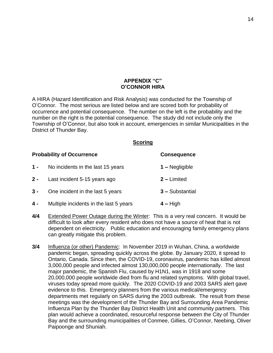#### **APPENDIX "C" O'CONNOR HIRA**

A HIRA (Hazard Identification and Risk Analysis) was conducted for the Township of O'Connor. The most serious are listed below and are scored both for probability of occurrence and potential consequence. The number on the left is the probability and the number on the right is the potential consequence. The study did not include only the Township of O'Connor, but also took in account, emergencies in similar Municipalities in the District of Thunder Bay.

#### **Scoring**

|       | <b>Probability of Occurrence</b>       | <b>Consequence</b> |
|-------|----------------------------------------|--------------------|
| $1 -$ | No incidents in the last 15 years      | $1 -$ Negligible   |
| $2 -$ | Last incident 5-15 years ago           | $2$ – Limited      |
| $3 -$ | One incident in the last 5 years       | 3 - Substantial    |
| $4 -$ | Multiple incidents in the last 5 years | $4 - High$         |

- **4/4** Extended Power Outage during the Winter: This is a very real concern. It would be difficult to look after every resident who does not have a source of heat that is not dependent on electricity. Public education and encouraging family emergency plans can greatly mitigate this problem.
- **3/4** Influenza (or other) Pandemic: In November 2019 in Wuhan, China, a worldwide pandemic began, spreading quickly across the globe. By January 2020, it spread to Ontario, Canada. Since then, the COVID-19, coronavirus, pandemic has killed almost 3,000,000 people and infected almost 130,000,000 people internationally. The last major pandemic, the Spanish Flu, caused by H1N1, was in 1918 and some 20,000,000 people worldwide died from flu and related symptoms. With global travel, viruses today spread more quickly. The 2020 COVID-19 and 2003 SARS alert gave evidence to this. Emergency planners from the various medical/emergency departments met regularly on SARS during the 2003 outbreak. The result from these meetings was the development of the Thunder Bay and Surrounding Area Pandemic Influenza Plan by the Thunder Bay District Health Unit and community partners. This plan would achieve a coordinated, resourceful response between the City of Thunder Bay and the surrounding municipalities of Conmee, Gillies, O'Connor, Neebing, Oliver Paipoonge and Shuniah.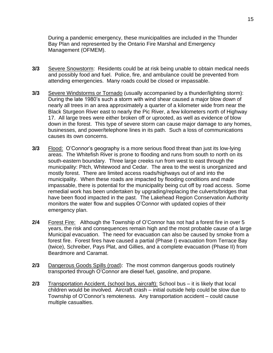During a pandemic emergency, these municipalities are included in the Thunder Bay Plan and represented by the Ontario Fire Marshal and Emergency Management (OFMEM).

- **3/3** Severe Snowstorm: Residents could be at risk being unable to obtain medical needs and possibly food and fuel. Police, fire, and ambulance could be prevented from attending emergencies. Many roads could be closed or impassable.
- **3/3** Severe Windstorms or Tornado (usually accompanied by a thunder/lighting storm): During the late 1980's such a storm with wind shear caused a major blow down of nearly all trees in an area approximately a quarter of a kilometer wide from near the Black Sturgeon River east to nearly the Pic River, a few kilometers north of Highway 17. All large trees were either broken off or uprooted, as well as evidence of blow down in the forest. This type of severe storm can cause major damage to any homes, businesses, and power/telephone lines in its path. Such a loss of communications causes its own concerns.
- **3/3** Flood: O'Connor's geography is a more serious flood threat than just its low-lying areas. The Whitefish River is prone to flooding and runs from south to north on its south-eastern boundary. Three large creeks run from west to east through the municipality: Pitch, Whitewood and Cedar. The area to the west is unorganized and mostly forest. There are limited access roads/highways out of and into the municipality. When these roads are impacted by flooding conditions and made impassable, there is potential for the municipality being cut off by road access. Some remedial work has been undertaken by upgrading/replacing the culverts/bridges that have been flood impacted in the past. The Lakehead Region Conservation Authority monitors the water flow and supplies O'Connor with updated copies of their emergency plan.
- **2/4** Forest Fire: Although the Township of O'Connor has not had a forest fire in over 5 years, the risk and consequences remain high and the most probable cause of a large Municipal evacuation. The need for evacuation can also be caused by smoke from a forest fire. Forest fires have caused a partial (Phase I) evacuation from Terrace Bay (twice), Schreiber, Pays Plat, and Gillies, and a complete evacuation (Phase II) from Beardmore and Caramat.
- **2/3** Dangerous Goods Spills (road): The most common dangerous goods routinely transported through O'Connor are diesel fuel, gasoline, and propane.
- **2/3** Transportation Accident, (school bus, aircraft): School bus it is likely that local children would be involved. Aircraft crash – initial outside help could be slow due to Township of O'Connor's remoteness. Any transportation accident – could cause multiple casualties.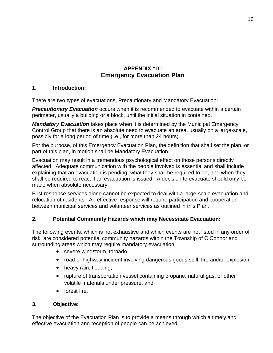## **APPENDIX "D" Emergency Evacuation Plan**

## **1. Introduction:**

There are two types of evacuations, Precautionary and Mandatory Evacuation:

*Precautionary Evacuation* occurs when it is recommended to evacuate within a certain perimeter, usually a building or a block, until the initial situation in contained.

*Mandatory Evacuation* takes place when it is determined by the Municipal Emergency Control Group that there is an absolute need to evacuate an area, usually on a large-scale, possibly for a long period of time (i.e., for more than 24 hours).

For the purpose, of this Emergency Evacuation Plan, the definition that shall set the plan, or part of this plan, in motion shall be Mandatory Evacuation.

Evacuation may result in a tremendous psychological effect on those persons directly affected. Adequate communication with the people involved is essential and shall include explaining that an evacuation is pending, what they shall be required to do, and when they shall be required to react if an evacuation is issued. A decision to evacuate should only be made when absolute necessary.

First response services alone cannot be expected to deal with a large-scale evacuation and relocation of residents. An effective response will require participation and cooperation between municipal services and volunteer services as outlined in this Plan.

## **2. Potential Community Hazards which may Necessitate Evacuation:**

The following events, which is not exhaustive and which events are not listed in any order of risk, are considered potential community hazards within the Township of O'Connor and surrounding areas which may require mandatory evacuation:

- severe windstorm, tornado,
- road or highway incident involving dangerous goods spill, fire and/or explosion,
- heavy rain, flooding,
- rupture of transportation vessel containing propane, natural gas, or other volatile materials under pressure, and
- forest fire.

## **3. Objective:**

The objective of the Evacuation Plan is to provide a means through which a timely and effective evacuation and reception of people can be achieved.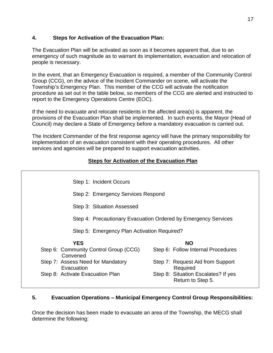## **4. Steps for Activation of the Evacuation Plan:**

The Evacuation Plan will be activated as soon as it becomes apparent that, due to an emergency of such magnitude as to warrant its implementation, evacuation and relocation of people is necessary.

In the event, that an Emergency Evacuation is required, a member of the Community Control Group (CCG), on the advice of the Incident Commander on scene, will activate the Township's Emergency Plan. This member of the CCG will activate the notification procedure as set out in the table below, so members of the CCG are alerted and instructed to report to the Emergency Operations Centre (EOC).

If the need to evacuate and relocate residents in the affected area(s) is apparent, the provisions of the Evacuation Plan shall be implemented. In such events, the Mayor (Head of Council) may declare a State of Emergency before a mandatory evacuation is carried out.

The Incident Commander of the first response agency will have the primary responsibility for implementation of an evacuation consistent with their operating procedures. All other services and agencies will be prepared to support evacuation activities.

## **Steps for Activation of the Evacuation Plan**

|                                             | Step 1: Incident Occurs                                        |  |                                                          |
|---------------------------------------------|----------------------------------------------------------------|--|----------------------------------------------------------|
|                                             | Step 2: Emergency Services Respond                             |  |                                                          |
|                                             | Step 3: Situation Assessed                                     |  |                                                          |
|                                             | Step 4: Precautionary Evacuation Ordered by Emergency Services |  |                                                          |
| Step 5: Emergency Plan Activation Required? |                                                                |  |                                                          |
|                                             | <b>YES</b>                                                     |  | <b>NO</b>                                                |
|                                             | Step 6: Community Control Group (CCG)<br>Convened              |  | Step 6: Follow Internal Procedures                       |
|                                             | Step 7: Assess Need for Mandatory<br>Evacuation                |  | Step 7: Request Aid from Support<br>Required             |
|                                             | Step 8: Activate Evacuation Plan                               |  | Step 8: Situation Escalates? If yes<br>Return to Step 5. |

## **5. Evacuation Operations – Municipal Emergency Control Group Responsibilities:**

Once the decision has been made to evacuate an area of the Township, the MECG shall determine the following: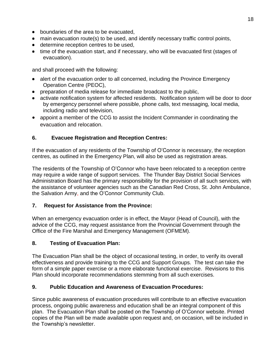- boundaries of the area to be evacuated,
- main evacuation route(s) to be used, and identify necessary traffic control points,
- **•** determine reception centres to be used,
- time of the evacuation start, and if necessary, who will be evacuated first (stages of evacuation).

and shall proceed with the following:

- alert of the evacuation order to all concerned, including the Province Emergency Operation Centre (PEOC),
- preparation of media release for immediate broadcast to the public,
- activate notification system for affected residents. Notification system will be door to door by emergency personnel where possible, phone calls, text messaging, local media, including radio and television,
- appoint a member of the CCG to assist the Incident Commander in coordinating the evacuation and relocation.

## **6. Evacuee Registration and Reception Centres:**

If the evacuation of any residents of the Township of O'Connor is necessary, the reception centres, as outlined in the Emergency Plan, will also be used as registration areas.

The residents of the Township of O'Connor who have been relocated to a reception centre may require a wide range of support services. The Thunder Bay District Social Services Administration Board has the primary responsibility for the provision of all such services, with the assistance of volunteer agencies such as the Canadian Red Cross, St. John Ambulance, the Salvation Army, and the O'Connor Community Club.

## **7. Request for Assistance from the Province:**

When an emergency evacuation order is in effect, the Mayor (Head of Council), with the advice of the CCG, may request assistance from the Provincial Government through the Office of the Fire Marshal and Emergency Management (OFMEM).

## **8. Testing of Evacuation Plan:**

The Evacuation Plan shall be the object of occasional testing, in order, to verify its overall effectiveness and provide training to the CCG and Support Groups. The test can take the form of a simple paper exercise or a more elaborate functional exercise. Revisions to this Plan should incorporate recommendations stemming from all such exercises.

## **9. Public Education and Awareness of Evacuation Procedures:**

Since public awareness of evacuation procedures will contribute to an effective evacuation process, ongoing public awareness and education shall be an integral component of this plan. The Evacuation Plan shall be posted on the Township of O'Connor website. Printed copies of the Plan will be made available upon request and, on occasion, will be included in the Township's newsletter.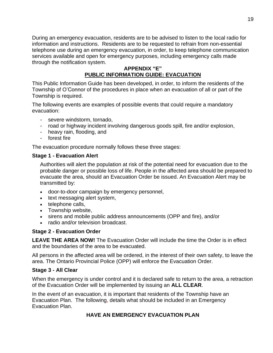During an emergency evacuation, residents are to be advised to listen to the local radio for information and instructions. Residents are to be requested to refrain from non-essential telephone use during an emergency evacuation, in order, to keep telephone communication services available and open for emergency purposes, including emergency calls made through the notification system.

#### **APPENDIX "E" PUBLIC INFORMATION GUIDE: EVACUATION**

This Public Information Guide has been developed, in order, to inform the residents of the Township of O'Connor of the procedures in place when an evacuation of all or part of the Township is required.

The following events are examples of possible events that could require a mandatory evacuation:

- severe windstorm, tornado,
- road or highway incident involving dangerous goods spill, fire and/or explosion,
- heavy rain, flooding, and
- forest fire

The evacuation procedure normally follows these three stages:

## **Stage 1 - Evacuation Alert**

Authorities will alert the population at risk of the potential need for evacuation due to the probable danger or possible loss of life. People in the affected area should be prepared to evacuate the area, should an Evacuation Order be issued. An Evacuation Alert may be transmitted by:

- door-to-door campaign by emergency personnel,
- text messaging alert system,
- telephone calls.
- Township website,
- sirens and mobile public address announcements (OPP and fire), and/or
- radio and/or television broadcast.

## **Stage 2 - Evacuation Order**

**LEAVE THE AREA NOW!** The Evacuation Order will include the time the Order is in effect and the boundaries of the area to be evacuated.

All persons in the affected area will be ordered, in the interest of their own safety, to leave the area. The Ontario Provincial Police (OPP) will enforce the Evacuation Order.

## **Stage 3 - All Clear**

When the emergency is under control and it is declared safe to return to the area, a retraction of the Evacuation Order will be implemented by issuing an **ALL CLEAR**.

In the event of an evacuation, it is important that residents of the Township have an Evacuation Plan. The following, details what should be included in an Emergency Evacuation Plan.

## **HAVE AN EMERGENCY EVACUATION PLAN**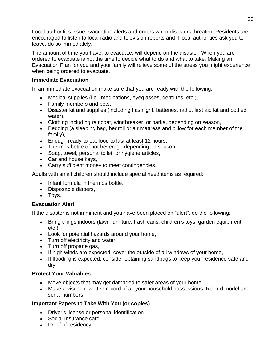Local authorities issue evacuation alerts and orders when disasters threaten. Residents are encouraged to listen to local radio and television reports and if local authorities ask you to leave, do so immediately.

The amount of time you have, to evacuate, will depend on the disaster. When you are ordered to evacuate is not the time to decide what to do and what to take. Making an Evacuation Plan for you and your family will relieve some of the stress you might experience when being ordered to evacuate.

## **Immediate Evacuation**

In an immediate evacuation make sure that you are ready with the following:

- Medical supplies (i.e., medications, eyeglasses, dentures, etc.),
- Family members and pets,
- Disaster kit and supplies (including flashlight, batteries, radio, first aid kit and bottled water),
- Clothing including raincoat, windbreaker, or parka, depending on season,
- Bedding (a sleeping bag, bedroll or air mattress and pillow for each member of the family),
- Enough ready-to-eat food to last at least 12 hours,
- Thermos bottle of hot beverage depending on season,
- Soap, towel, personal toilet, or hygiene articles,
- Car and house keys,
- Carry sufficient money to meet contingencies.

Adults with small children should include special need items as required:

- Infant formula in thermos bottle,
- Disposable diapers,
- Toys.

## **Evacuation Alert**

If the disaster is not imminent and you have been placed on "alert", do the following:

- Bring things indoors (lawn furniture, trash cans, children's toys, garden equipment, etc.)
- Look for potential hazards around your home,
- Turn off electricity and water.
- Turn off propane gas,
- If high winds are expected, cover the outside of all windows of your home,
- If flooding is expected, consider obtaining sandbags to keep your residence safe and dry.

## **Protect Your Valuables**

- Move objects that may get damaged to safer areas of your home,
- Make a visual or written record of all your household possessions. Record model and serial numbers.

## **Important Papers to Take With You (or copies)**

- Driver's license or personal identification
- Social Insurance card
- Proof of residency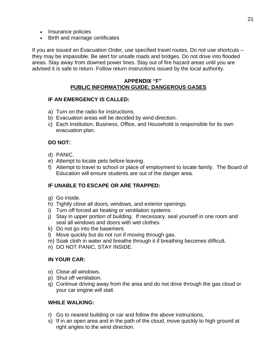- Insurance policies
- Birth and marriage certificates

If you are issued an Evacuation Order, use specified travel routes. Do not use shortcuts – they may be impassible. Be alert for unsafe roads and bridges. Do not drive into flooded areas. Stay away from downed power lines. Stay out of fire hazard areas until you are advised it is safe to return. Follow return instructions issued by the local authority.

#### **APPENDIX "F" PUBLIC INFORMATION GUIDE: DANGEROUS GASES**

#### **IF AN EMERGENCY IS CALLED:**

- a) Turn on the radio for instructions.
- b) Evacuation areas will be decided by wind direction.
- c) Each Institution, Business, Office, and Household is responsible for its own evacuation plan.

#### **DO NOT:**

- d) PANIC.
- e) Attempt to locate pets before leaving.
- f) Attempt to travel to school or place of employment to locate family. The Board of Education will ensure students are out of the danger area.

## **IF UNABLE TO ESCAPE OR ARE TRAPPED:**

- g) Go inside.
- h) Tightly close all doors, windows, and exterior openings.
- i) Turn off forced air heating or ventilation systems.
- j) Stay in upper portion of building. If necessary, seal yourself in one room and seal all windows and doors with wet clothes.
- k) Do not go into the basement.
- l) Move quickly but do not run if moving through gas.
- m) Soak cloth in water and breathe through it if breathing becomes difficult.
- n) DO NOT PANIC, STAY INSIDE.

#### **IN YOUR CAR:**

- o) Close all windows.
- p) Shut off ventilation.
- q) Continue driving away from the area and do not drive through the gas cloud or your car engine will stall.

#### **WHILE WALKING:**

- r) Go to nearest building or car and follow the above instructions,
- s) If in an open area and in the path of the cloud, move quickly to high ground at right angles to the wind direction.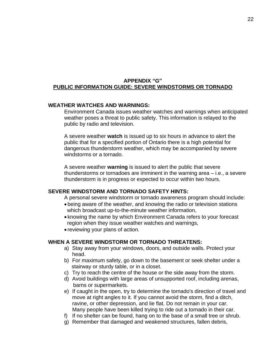#### **APPENDIX "G" PUBLIC INFORMATION GUIDE: SEVERE WINDSTORMS OR TORNADO**

#### **WEATHER WATCHES AND WARNINGS:**

Environment Canada issues weather watches and warnings when anticipated weather poses a threat to public safety. This information is relayed to the public by radio and television.

A severe weather **watch** is issued up to six hours in advance to alert the public that for a specified portion of Ontario there is a high potential for dangerous thunderstorm weather, which may be accompanied by severe windstorms or a tornado.

A severe weather **warning** is issued to alert the public that severe thunderstorms or tornadoes are imminent in the warning area – i.e., a severe thunderstorm is in progress or expected to occur within two hours.

#### **SEVERE WINDSTORM AND TORNADO SAFETY HINTS:**

A personal severe windstorm or tornado awareness program should include:

- being aware of the weather, and knowing the radio or television stations which broadcast up-to-the-minute weather information,
- knowing the name by which Environment Canada refers to your forecast region when they issue weather watches and warnings,
- reviewing your plans of action.

#### **WHEN A SEVERE WINDSTORM OR TORNADO THREATENS:**

- a) Stay away from your windows, doors, and outside walls. Protect your head.
- b) For maximum safety, go down to the basement or seek shelter under a stairway or sturdy table, or in a closet.
- c) Try to reach the centre of the house or the side away from the storm.
- d) Avoid buildings with large areas of unsupported roof, including arenas, barns or supermarkets.
- e) If caught in the open, try to determine the tornado's direction of travel and move at right angles to it. If you cannot avoid the storm, find a ditch, ravine, or other depression, and lie flat. Do not remain in your car. Many people have been killed trying to ride out a tornado in their car.
- f) If no shelter can be found, hang on to the base of a small tree or shrub.
- g) Remember that damaged and weakened structures, fallen debris,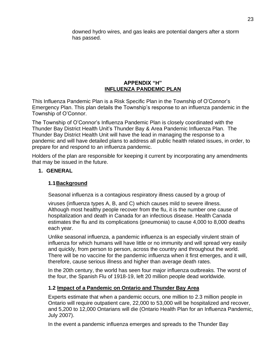downed hydro wires, and gas leaks are potential dangers after a storm has passed.

## **APPENDIX "H" INFLUENZA PANDEMIC PLAN**

This Influenza Pandemic Plan is a Risk Specific Plan in the Township of O'Connor's Emergency Plan. This plan details the Township's response to an influenza pandemic in the Township of O'Connor.

The Township of O'Connor's Influenza Pandemic Plan is closely coordinated with the Thunder Bay District Health Unit's Thunder Bay & Area Pandemic Influenza Plan. The Thunder Bay District Health Unit will have the lead in managing the response to a pandemic and will have detailed plans to address all public health related issues, in order, to prepare for and respond to an influenza pandemic.

Holders of the plan are responsible for keeping it current by incorporating any amendments that may be issued in the future.

## **1. GENERAL**

## **1.1Background**

Seasonal influenza is a contagious respiratory illness caused by a group of

viruses (influenza types A, B, and C) which causes mild to severe illness. Although most healthy people recover from the flu, it is the number one cause of hospitalization and death in Canada for an infectious disease. Health Canada estimates the flu and its complications (pneumonia) to cause 4,000 to 8,000 deaths each year.

Unlike seasonal influenza, a pandemic influenza is an especially virulent strain of influenza for which humans will have little or no immunity and will spread very easily and quickly, from person to person, across the country and throughout the world. There will be no vaccine for the pandemic influenza when it first emerges, and it will, therefore, cause serious illness and higher than average death rates.

In the 20th century, the world has seen four major influenza outbreaks. The worst of the four, the Spanish Flu of 1918-19, left 20 million people dead worldwide.

## **1.2 Impact of a Pandemic on Ontario and Thunder Bay Area**

Experts estimate that when a pandemic occurs, one million to 2.3 million people in Ontario will require outpatient care, 22,000 to 53,000 will be hospitalized and recover, and 5,200 to 12,000 Ontarians will die (Ontario Health Plan for an Influenza Pandemic, July 2007).

In the event a pandemic influenza emerges and spreads to the Thunder Bay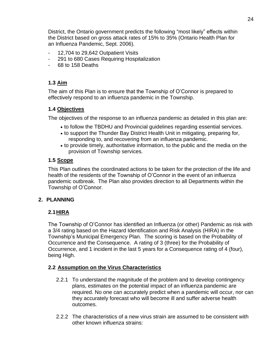District, the Ontario government predicts the following "most likely" effects within the District based on gross attack rates of 15% to 35% (Ontario Health Plan for an Influenza Pandemic, Sept. 2006).

- 12,704 to 29,642 Outpatient Visits
- 291 to 680 Cases Requiring Hospitalization
- 68 to 158 Deaths

## **1.3 Aim**

The aim of this Plan is to ensure that the Township of O'Connor is prepared to effectively respond to an influenza pandemic in the Township.

#### **1.4 Objectives**

The objectives of the response to an influenza pandemic as detailed in this plan are:

- to follow the TBDHU and Provincial guidelines regarding essential services.
- to support the Thunder Bay District Health Unit in mitigating, preparing for, responding to, and recovering from an influenza pandemic.
- to provide timely, authoritative information, to the public and the media on the provision of Township services.

#### **1.5 Scope**

This Plan outlines the coordinated actions to be taken for the protection of the life and health of the residents of the Township of O'Connor in the event of an influenza pandemic outbreak. The Plan also provides direction to all Departments within the Township of O'Connor.

#### **2. PLANNING**

## **2.1HIRA**

The Township of O'Connor has identified an Influenza (or other) Pandemic as risk with a 3/4 rating based on the Hazard Identification and Risk Analysis (HIRA) in the Township's Municipal Emergency Plan. The scoring is based on the Probability of Occurrence and the Consequence. A rating of 3 (three) for the Probability of Occurrence, and 1 incident in the last 5 years for a Consequence rating of 4 (four), being High.

#### **2.2 Assumption on the Virus Characteristics**

- 2.2.1 To understand the magnitude of the problem and to develop contingency plans, estimates on the potential impact of an influenza pandemic are required. No one can accurately predict when a pandemic will occur, nor can they accurately forecast who will become ill and suffer adverse health outcomes.
- 2.2.2 The characteristics of a new virus strain are assumed to be consistent with other known influenza strains: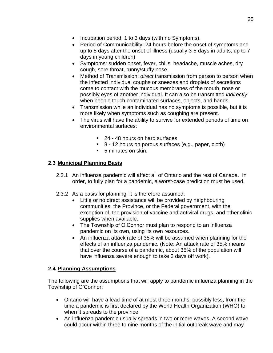- Incubation period: 1 to 3 days (with no Symptoms).
- Period of Communicability: 24 hours before the onset of symptoms and up to 5 days after the onset of illness (usually 3-5 days in adults, up to 7 days in young children)
- Symptoms: sudden onset, fever, chills, headache, muscle aches, dry cough, sore throat, runny/stuffy nose.
- Method of Transmission: *direct* transmission from person to person when the infected individual coughs or sneezes and droplets of secretions come to contact with the mucous membranes of the mouth, nose or possibly eyes of another individual. It can also be transmitted *indirectly*  when people touch contaminated surfaces, objects, and hands.
- Transmission while an individual has no symptoms is possible, but it is more likely when symptoms such as coughing are present.
- The virus will have the ability to survive for extended periods of time on environmental surfaces:
	- 24 48 hours on hard surfaces
	- 8 12 hours on porous surfaces (e.g., paper, cloth)
	- 5 minutes on skin.

## **2.3 Municipal Planning Basis**

- 2.3.1 An influenza pandemic will affect all of Ontario and the rest of Canada. In order, to fully plan for a pandemic, a worst-case prediction must be used.
- 2.3.2 As a basis for planning, it is therefore assumed:
	- Little or no direct assistance will be provided by neighbouring communities, the Province, or the Federal government, with the exception of, the provision of vaccine and antiviral drugs, and other clinic supplies when available.
	- The Township of O'Connor must plan to respond to an influenza pandemic on its own, using its own resources.
	- An influenza attack rate of 35% will be assumed when planning for the effects of an influenza pandemic. (Note: An attack rate of 35% means that over the course of a pandemic, about 35% of the population will have influenza severe enough to take 3 days off work).

## **2.4 Planning Assumptions**

The following are the assumptions that will apply to pandemic influenza planning in the Township of O'Connor:

- Ontario will have a lead-time of at most three months, possibly less, from the time a pandemic is first declared by the World Health Organization (WHO) to when it spreads to the province.
- An influenza pandemic usually spreads in two or more waves. A second wave could occur within three to nine months of the initial outbreak wave and may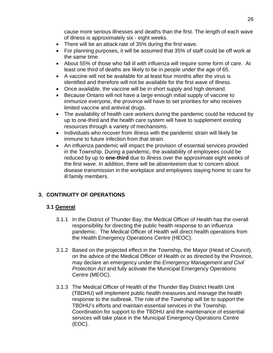cause more serious illnesses and deaths than the first. The length of each wave of illness is approximately six - eight weeks.

- There will be an attack rate of 35% during the first wave.
- For planning purposes, it will be assumed that 35% of staff could be off work at the same time.
- About 55% of those who fall ill with influenza will require some form of care. At least one third of deaths are likely to be in people under the age of 65.
- A vaccine will not be available for at least four months after the virus is identified and therefore will not be available for the first wave of illness.
- Once available, the vaccine will be in short supply and high demand.
- Because Ontario will not have a large enough initial supply of vaccine to immunize everyone, the province will have to set priorities for who receives limited vaccine and antiviral drugs.
- The availability of health care workers during the pandemic could be reduced by up to one-third and the health care system will have to supplement existing resources through a variety of mechanisms.
- Individuals who recover from illness with the pandemic strain will likely be immune to future infection from that strain.
- An influenza pandemic will impact the provision of essential services provided in the Township. During a pandemic, the availability of employees could be reduced by up to **one-third** due to illness over the approximate eight weeks of the first wave. In addition, there will be absenteeism due to concern about disease transmission in the workplace and employees staying home to care for ill family members.

## **3. CONTINUITY OF OPERATIONS**

## **3.1 General**

- 3.1.1 In the District of Thunder Bay, the Medical Officer of Health has the overall responsibility for directing the public health response to an influenza pandemic. The Medical Officer of Health will direct health operations from the Health Emergency Operations Centre (HEOC).
- 3.1.2 Based on the projected effect in the Township, the Mayor (Head of Council), on the advice of the Medical Officer of Health or as directed by the Province, may declare an emergency under the *Emergency Management and Civil Protection Act* and fully activate the Municipal Emergency Operations Centre (MEOC).
- 3.1.3 The Medical Officer of Health of the Thunder Bay District Health Unit (TBDHU) will implement public health measures and manage the health response to the outbreak. The role of the Township will be to support the TBDHU's efforts and maintain essential services in the Township. Coordination for support to the TBDHU and the maintenance of essential services will take place in the Municipal Emergency Operations Centre (EOC).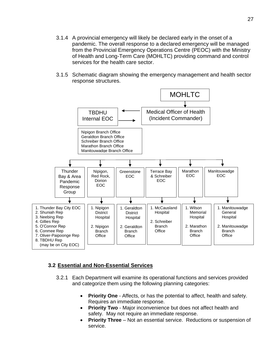- 3.1.4 A provincial emergency will likely be declared early in the onset of a pandemic. The overall response to a declared emergency will be managed from the Provincial Emergency Operations Centre (PEOC) with the Ministry of Health and Long-Term Care (MOHLTC) providing command and control services for the health care sector.
- 3.1.5 Schematic diagram showing the emergency management and health sector response structures.



#### **3.2 Essential and Non-Essential Services**

- 3.2.1 Each Department will examine its operational functions and services provided and categorize them using the following planning categories:
	- **Priority One** Affects, or has the potential to affect, health and safety. Requires an immediate response.
	- **Priority Two** Major inconvenience but does not affect health and safety. May not require an immediate response.
	- **Priority Three** Not an essential service. Reductions or suspension of service.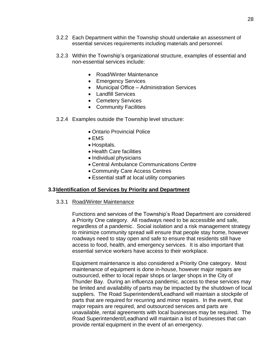- 3.2.2 Each Department within the Township should undertake an assessment of essential services requirements including materials and personnel.
- 3.2.3 Within the Township's organizational structure, examples of essential and non-essential services include:
	- Road/Winter Maintenance
	- Emergency Services
	- Municipal Office Administration Services
	- Landfill Services
	- Cemetery Services
	- Community Facilities
- 3.2.4 Examples outside the Township level structure:
	- Ontario Provincial Police
	- EMS
	- Hospitals.
	- Health Care facilities
	- Individual physicians
	- Central Ambulance Communications Centre
	- Community Care Access Centres
	- Essential staff at local utility companies

#### **3.3Identification of Services by Priority and Department**

#### 3.3.1 Road/Winter Maintenance

Functions and services of the Township's Road Department are considered a Priority One category. All roadways need to be accessible and safe, regardless of a pandemic. Social isolation and a risk management strategy to minimize community spread will ensure that people stay home, however roadways need to stay open and safe to ensure that residents still have access to food, health, and emergency services. It is also important that essential service workers have access to their workplace.

Equipment maintenance is also considered a Priority One category. Most maintenance of equipment is done in-house, however major repairs are outsourced, either to local repair shops or larger shops in the City of Thunder Bay. During an influenza pandemic, access to these services may be limited and availability of parts may be impacted by the shutdown of local suppliers. The Road Superintendent/Leadhand will maintain a stockpile of parts that are required for recurring and minor repairs. In the event, that major repairs are required, and outsourced services and parts are unavailable, rental agreements with local businesses may be required. The Road Superintendent/Leadhand will maintain a list of businesses that can provide rental equipment in the event of an emergency.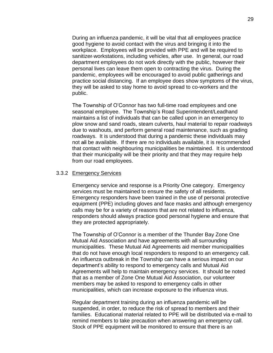During an influenza pandemic, it will be vital that all employees practice good hygiene to avoid contact with the virus and bringing it into the workplace. Employees will be provided with PPE and will be required to sanitizer-workstations, including vehicles, after use. In general, our road department employees do not work directly with the public, however their personal lives can leave them open to contracting the virus. During the pandemic, employees will be encouraged to avoid public gatherings and practice social distancing. If an employee does show symptoms of the virus, they will be asked to stay home to avoid spread to co-workers and the public.

The Township of O'Connor has two full-time road employees and one seasonal employee. The Township's Road Superintendent/Leadhand maintains a list of individuals that can be called upon in an emergency to plow snow and sand roads, steam culverts, haul material to repair roadways due to washouts, and perform general road maintenance, such as grading roadways. It is understood that during a pandemic these individuals may not all be available. If there are no individuals available, it is recommended that contact with neighbouring municipalities be maintained. It is understood that their municipality will be their priority and that they may require help from our road employees.

#### 3.3.2 Emergency Services

Emergency service and response is a Priority One category. Emergency services must be maintained to ensure the safety of all residents. Emergency responders have been trained in the use of personal protective equipment (PPE) including gloves and face masks and although emergency calls may be for a variety of reasons that are not related to influenza, responders should always practice good personal hygiene and ensure that they are protected appropriately.

The Township of O'Connor is a member of the Thunder Bay Zone One Mutual Aid Association and have agreements with all surrounding municipalities. These Mutual Aid Agreements aid member municipalities that do not have enough local responders to respond to an emergency call. An influenza outbreak in the Township can have a serious impact on our department's ability to respond to emergency calls and Mutual Aid Agreements will help to maintain emergency services. It should be noted that as a member of Zone One Mutual Aid Association, our volunteer members may be asked to respond to emergency calls in other municipalities, which can increase exposure to the influenza virus.

Regular department training during an influenza pandemic will be suspended, in order, to reduce the risk of spread to members and their families. Educational material related to PPE will be distributed via e-mail to remind members to take precaution when answering an emergency call. Stock of PPE equipment will be monitored to ensure that there is an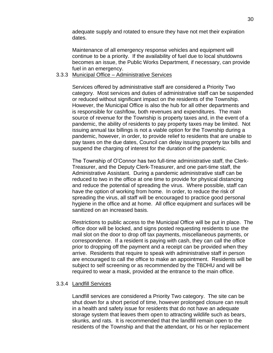adequate supply and rotated to ensure they have not met their expiration dates.

Maintenance of all emergency response vehicles and equipment will continue to be a priority. If the availability of fuel due to local shutdowns becomes an issue, the Public Works Department, if necessary, can provide fuel in an emergency.

#### 3.3.3 Municipal Office – Administrative Services

Services offered by administrative staff are considered a Priority Two category. Most services and duties of administrative staff can be suspended or reduced without significant impact on the residents of the Township. However, the Municipal Office is also the hub for all other departments and is responsible for cashflow, both revenues and expenditures. The main source of revenue for the Township is property taxes and, in the event of a pandemic, the ability of residents to pay property taxes may be limited. Not issuing annual tax billings is not a viable option for the Township during a pandemic, however, in order, to provide relief to residents that are unable to pay taxes on the due dates, Council can delay issuing property tax bills and suspend the charging of interest for the duration of the pandemic.

The Township of O'Connor has two full-time administrative staff, the Clerk-Treasurer, and the Deputy Clerk-Treasurer, and one part-time staff, the Administrative Assistant. During a pandemic administrative staff can be reduced to two in the office at one time to provide for physical distancing and reduce the potential of spreading the virus. Where possible, staff can have the option of working from home. In order, to reduce the risk of spreading the virus, all staff will be encouraged to practice good personal hygiene in the office and at home. All office equipment and surfaces will be sanitized on an increased basis.

Restrictions to public access to the Municipal Office will be put in place. The office door will be locked, and signs posted requesting residents to use the mail slot on the door to drop off tax payments, miscellaneous payments, or correspondence. If a resident is paying with cash, they can call the office prior to dropping off the payment and a receipt can be provided when they arrive. Residents that require to speak with administrative staff in person are encouraged to call the office to make an appointment. Residents will be subject to self screening or as recommended by the TBDHU and will be required to wear a mask, provided at the entrance to the main office.

#### 3.3.4 Landfill Services

Landfill services are considered a Priority Two category. The site can be shut down for a short period of time, however prolonged closure can result in a health and safety issue for residents that do not have an adequate storage system that leaves them open to attracting wildlife such as bears, skunks, and rats. It is recommended that the landfill remain open to the residents of the Township and that the attendant, or his or her replacement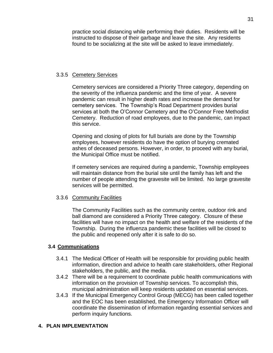practice social distancing while performing their duties. Residents will be instructed to dispose of their garbage and leave the site. Any residents found to be socializing at the site will be asked to leave immediately.

#### 3.3.5 Cemetery Services

Cemetery services are considered a Priority Three category, depending on the severity of the influenza pandemic and the time of year. A severe pandemic can result in higher death rates and increase the demand for cemetery services. The Township's Road Department provides burial services at both the O'Connor Cemetery and the O'Connor Free Methodist Cemetery. Reduction of road employees, due to the pandemic, can impact this service.

Opening and closing of plots for full burials are done by the Township employees, however residents do have the option of burying cremated ashes of deceased persons. However, in order, to proceed with any burial, the Municipal Office must be notified.

If cemetery services are required during a pandemic, Township employees will maintain distance from the burial site until the family has left and the number of people attending the gravesite will be limited. No large gravesite services will be permitted.

#### 3.3.6 Community Facilities

The Community Facilities such as the community centre, outdoor rink and ball diamond are considered a Priority Three category. Closure of these facilities will have no impact on the health and welfare of the residents of the Township. During the influenza pandemic these facilities will be closed to the public and reopened only after it is safe to do so.

#### **3.4 Communications**

- 3.4.1 The Medical Officer of Health will be responsible for providing public health information, direction and advice to health care stakeholders, other Regional stakeholders, the public, and the media.
- 3.4.2 There will be a requirement to coordinate public health communications with information on the provision of Township services. To accomplish this, municipal administration will keep residents updated on essential services.
- 3.4.3 If the Municipal Emergency Control Group (MECG) has been called together and the EOC has been established, the Emergency Information Officer will coordinate the dissemination of information regarding essential services and perform inquiry functions.

#### **4. PLAN IMPLEMENTATION**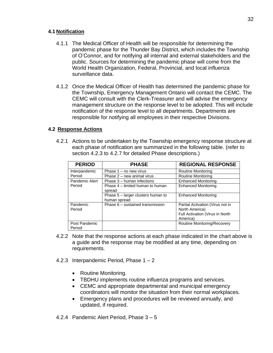#### **4.1 Notification**

- 4.1.1 The Medical Officer of Health will be responsible for determining the pandemic phase for the Thunder Bay District, which includes the Township of O'Connor, and for notifying all internal and external stakeholders and the public. Sources for determining the pandemic phase will come from the World Health Organization, Federal, Provincial, and local influenza surveillance data.
- 4.1.2 Once the Medical Officer of Health has determined the pandemic phase for the Township, Emergency Management Ontario will contact the CEMC. The CEMC will consult with the Clerk-Treasurer and will advise the emergency management structure on the response level to be adopted. This will include notification of the response level to all departments. Departments are responsible for notifying all employees in their respective Divisions.

## **4.2 Response Actions**

4.2.1 Actions to be undertaken by the Township emergency response structure at each phase of notification are summarized in the following table. (refer to section 4.2.3 to 4.2.7 for detailed Phase descriptions.)

| <b>PERIOD</b>           | <b>PHASE</b>                                       | <b>REGIONAL RESPONSE</b>                                                                          |
|-------------------------|----------------------------------------------------|---------------------------------------------------------------------------------------------------|
| Interpandemic           | Phase 1 – no new virus                             | Routine Monitoring                                                                                |
| Period                  | Phase 2 – new animal virus                         | <b>Routine Monitoring</b>                                                                         |
| Pandemic Alert          | Phase 3 - human infections                         | <b>Enhanced Monitoring</b>                                                                        |
| Period                  | Phase 4 – limited human to human<br>spread         | <b>Enhanced Monitoring</b>                                                                        |
|                         | Phase 5 – larger clusters human to<br>human spread | <b>Enhanced Monitoring</b>                                                                        |
| Pandemic<br>Period      | Phase 6 – sustained transmission                   | Partial Activation (Virus not in<br>North America)<br>Full Activation (Virus in North<br>America) |
| Post Pandemic<br>Period |                                                    | Routine Monitoring/Recovery                                                                       |

- 4.2.2 Note that the response actions at each phase indicated in the chart above is a guide and the response may be modified at any time, depending on requirements.
- 4.2.3 Interpandemic Period, Phase  $1 2$ 
	- Routine Monitoring.
	- TBDHU implements routine influenza programs and services.
	- CEMC and appropriate departmental and municipal emergency coordinators will monitor the situation from their normal workplaces.
	- Emergency plans and procedures will be reviewed annually, and updated, if required.
- 4.2.4 Pandemic Alert Period, Phase 3 5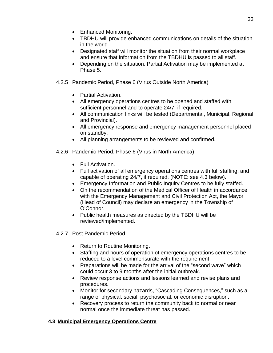- Enhanced Monitoring.
- TBDHU will provide enhanced communications on details of the situation in the world.
- Designated staff will monitor the situation from their normal workplace and ensure that information from the TBDHU is passed to all staff.
- Depending on the situation, Partial Activation may be implemented at Phase 5.
- 4.2.5 Pandemic Period, Phase 6 (Virus Outside North America)
	- Partial Activation.
	- All emergency operations centres to be opened and staffed with sufficient personnel and to operate 24/7, if required.
	- All communication links will be tested (Departmental, Municipal, Regional and Provincial).
	- All emergency response and emergency management personnel placed on standby.
	- All planning arrangements to be reviewed and confirmed.
- 4.2.6 Pandemic Period, Phase 6 (Virus in North America)
	- Full Activation.
	- Full activation of all emergency operations centres with full staffing, and capable of operating 24/7, if required. (NOTE: see 4.3 below).
	- Emergency Information and Public Inquiry Centres to be fully staffed.
	- On the recommendation of the Medical Officer of Health in accordance with the Emergency Management and Civil Protection Act, the Mayor (Head of Council) may declare an emergency in the Township of O'Connor.
	- Public health measures as directed by the TBDHU will be reviewed/implemented.
- 4.2.7 Post Pandemic Period
	- Return to Routine Monitoring.
	- Staffing and hours of operation of emergency operations centres to be reduced to a level commensurate with the requirement.
	- Preparations will be made for the arrival of the "second wave" which could occur 3 to 9 months after the initial outbreak.
	- Review response actions and lessons learned and revise plans and procedures.
	- Monitor for secondary hazards, "Cascading Consequences," such as a range of physical, social, psychosocial, or economic disruption.
	- Recovery process to return the community back to normal or near normal once the immediate threat has passed.

## **4.3 Municipal Emergency Operations Centre**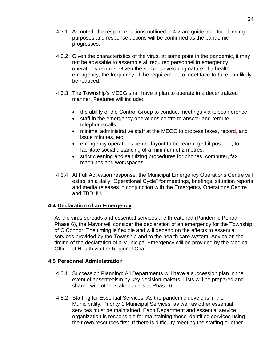- 4.3.1 As noted, the response actions outlined in 4.2 are guidelines for planning purposes and response actions will be confirmed as the pandemic progresses.
- 4.3.2 Given the characteristics of the virus, at some point in the pandemic, it may not be advisable to assemble all required personnel in emergency operations centres. Given the slower developing nature of a health emergency, the frequency of the requirement to meet face-to-face can likely be reduced.
- 4.3.3 The Township's MECG shall have a plan to operate in a decentralized manner. Features will include:
	- the ability of the Control Group to conduct meetings via teleconference.
	- staff in the emergency operations centre to answer and reroute telephone calls.
	- minimal administrative staff at the MEOC to process faxes, record, and issue minutes, etc.
	- emergency operations centre layout to be rearranged if possible, to facilitate social distancing of a minimum of 2 metres.
	- strict cleaning and sanitizing procedures for phones, computer, fax machines and workspaces.
- 4.3.4 At Full Activation response, the Municipal Emergency Operations Centre will establish a daily "Operational Cycle" for meetings, briefings, situation reports and media releases in conjunction with the Emergency Operations Centre and TBDHU.

## **4.4 Declaration of an Emergency**

As the virus spreads and essential services are threatened (Pandemic Period, Phase 6), the Mayor will consider the declaration of an emergency for the Township of O'Connor. The timing is flexible and will depend on the effects to essential services provided by the Township and to the health care system. Advice on the timing of the declaration of a Municipal Emergency will be provided by the Medical Officer of Health via the Regional Chair.

## **4.5 Personnel Administration**

- 4.5.1 Succession Planning: All Departments will have a succession plan in the event of absenteeism by key decision makers. Lists will be prepared and shared with other stakeholders at Phase 6.
- 4.5.2 Staffing for Essential Services: As the pandemic develops in the Municipality, Priority 1 Municipal Services, as well as other essential services must be maintained. Each Department and essential service organization is responsible for maintaining those identified services using their own resources first. If there is difficulty meeting the staffing or other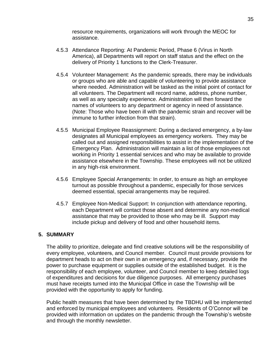resource requirements, organizations will work through the MEOC for assistance.

- 4.5.3 Attendance Reporting: At Pandemic Period, Phase 6 (Virus in North America), all Departments will report on staff status and the effect on the delivery of Priority 1 functions to the Clerk-Treasurer.
- 4.5.4 Volunteer Management: As the pandemic spreads, there may be individuals or groups who are able and capable of volunteering to provide assistance where needed. Administration will be tasked as the initial point of contact for all volunteers. The Department will record name, address, phone number, as well as any specialty experience. Administration will then forward the names of volunteers to any department or agency in need of assistance. (Note: Those who have been ill with the pandemic strain and recover will be immune to further infection from that strain).
- 4.5.5 Municipal Employee Reassignment: During a declared emergency, a by-law designates all Municipal employees as emergency workers. They may be called out and assigned responsibilities to assist in the implementation of the Emergency Plan. Administration will maintain a list of those employees not working in Priority 1 essential services and who may be available to provide assistance elsewhere in the Township. These employees will not be utilized in any high-risk environment.
- 4.5.6 Employee Special Arrangements: In order, to ensure as high an employee turnout as possible throughout a pandemic, especially for those services deemed essential, special arrangements may be required.
- 4.5.7 Employee Non-Medical Support: In conjunction with attendance reporting, each Department will contact those absent and determine any non-medical assistance that may be provided to those who may be ill. Support may include pickup and delivery of food and other household items.

#### **5. SUMMARY**

The ability to prioritize, delegate and find creative solutions will be the responsibility of every employee, volunteers, and Council member. Council must provide provisions for department heads to act on their own in an emergency and, if necessary, provide the power to purchase equipment or supplies outside of the established budget. It is the responsibility of each employee, volunteer, and Council member to keep detailed logs of expenditures and decisions for due diligence purposes. All emergency purchases must have receipts turned into the Municipal Office in case the Township will be provided with the opportunity to apply for funding.

Public health measures that have been determined by the TBDHU will be implemented and enforced by municipal employees and volunteers. Residents of O'Connor will be provided with information on updates on the pandemic through the Township's website and through the monthly newsletter.